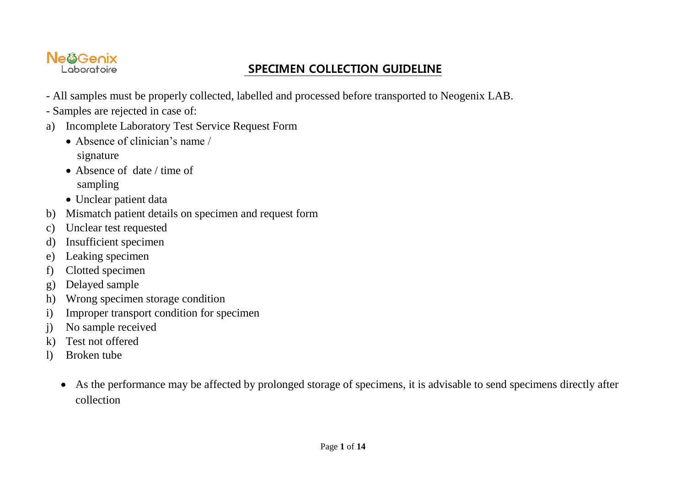## Ne@Genix

## Laboratoire **SPECIMEN COLLECTION GUIDELINE**

- All samples must be properly collected, labelled and processed before transported to Neogenix LAB.
- Samples are rejected in case of:
- a) Incomplete Laboratory Test Service Request Form
	- Absence of clinician's name / signature
	- Absence of date / time of sampling
	- Unclear patient data
- b) Mismatch patient details on specimen and request form
- c) Unclear test requested
- d) Insufficient specimen
- e) Leaking specimen
- f) Clotted specimen
- g) Delayed sample
- h) Wrong specimen storage condition
- i) Improper transport condition for specimen
- j) No sample received
- k) Test not offered
- l) Broken tube
	- As the performance may be affected by prolonged storage of specimens, it is advisable to send specimens directly after collection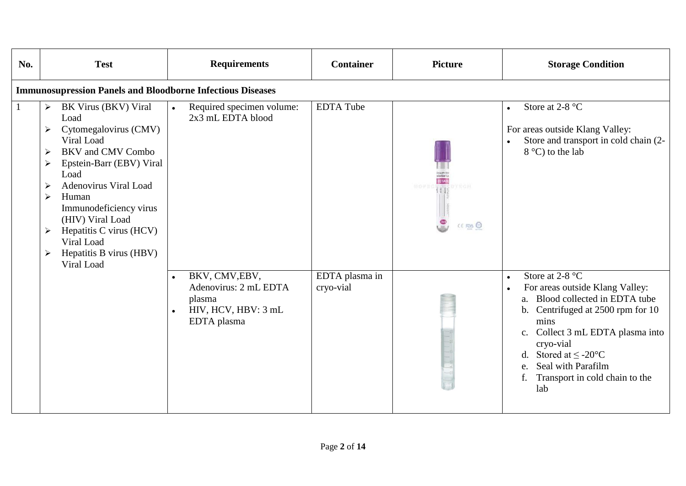| No.          | <b>Test</b>                                                                                                                                                                                                                                                                                                                                                  | <b>Requirements</b>                                                                     | <b>Container</b>            | <b>Picture</b>               | <b>Storage Condition</b>                                                                                                                                                                                                                                                                               |  |  |  |  |  |
|--------------|--------------------------------------------------------------------------------------------------------------------------------------------------------------------------------------------------------------------------------------------------------------------------------------------------------------------------------------------------------------|-----------------------------------------------------------------------------------------|-----------------------------|------------------------------|--------------------------------------------------------------------------------------------------------------------------------------------------------------------------------------------------------------------------------------------------------------------------------------------------------|--|--|--|--|--|
|              | <b>Immunosupression Panels and Bloodborne Infectious Diseases</b>                                                                                                                                                                                                                                                                                            |                                                                                         |                             |                              |                                                                                                                                                                                                                                                                                                        |  |  |  |  |  |
| $\mathbf{1}$ | BK Virus (BKV) Viral<br>≻<br>Load<br>Cytomegalovirus (CMV)<br>Viral Load<br><b>BKV</b> and CMV Combo<br>⋗<br>Epstein-Barr (EBV) Viral<br>≻<br>Load<br>Adenovirus Viral Load<br>⋗<br>Human<br>$\blacktriangleright$<br>Immunodeficiency virus<br>(HIV) Viral Load<br>Hepatitis C virus (HCV)<br>➤<br>Viral Load<br>Hepatitis B virus (HBV)<br>➤<br>Viral Load | Required specimen volume:<br>$\bullet$<br>2x3 mL EDTA blood                             | <b>EDTA Tube</b>            | HOPEC (11) OTECH<br>CE ROS O | Store at 2-8 °C<br>$\bullet$<br>For areas outside Klang Valley:<br>Store and transport in cold chain (2-<br>$8^{\circ}$ C) to the lab                                                                                                                                                                  |  |  |  |  |  |
|              |                                                                                                                                                                                                                                                                                                                                                              | BKV, CMV, EBV,<br>Adenovirus: 2 mL EDTA<br>plasma<br>HIV, HCV, HBV: 3 mL<br>EDTA plasma | EDTA plasma in<br>cryo-vial |                              | Store at 2-8 $^{\circ}$ C<br>$\bullet$<br>For areas outside Klang Valley:<br>a. Blood collected in EDTA tube<br>b. Centrifuged at 2500 rpm for 10<br>mins<br>c. Collect 3 mL EDTA plasma into<br>cryo-vial<br>d. Stored at $\leq$ -20°C<br>Seal with Parafilm<br>Transport in cold chain to the<br>lab |  |  |  |  |  |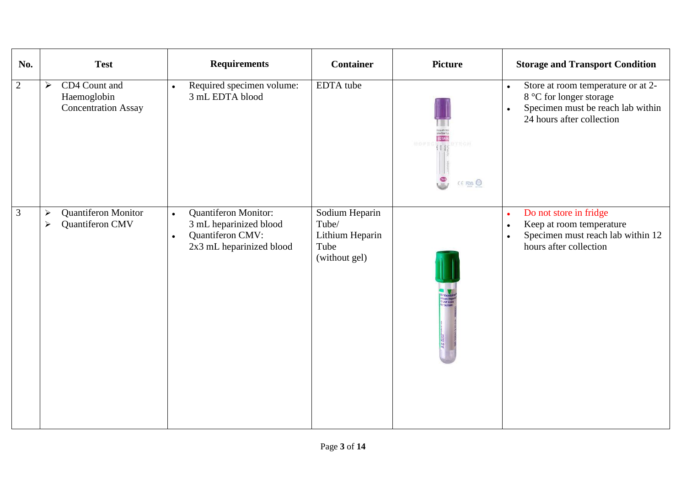| No.            | <b>Test</b>                                                                         | <b>Requirements</b>                                                                                                      | <b>Container</b>                                                    | <b>Picture</b>                       | <b>Storage and Transport Condition</b>                                                                                                                    |
|----------------|-------------------------------------------------------------------------------------|--------------------------------------------------------------------------------------------------------------------------|---------------------------------------------------------------------|--------------------------------------|-----------------------------------------------------------------------------------------------------------------------------------------------------------|
| $\overline{2}$ | CD4 Count and<br>$\blacktriangleright$<br>Haemoglobin<br><b>Concentration Assay</b> | Required specimen volume:<br>$\bullet$<br>3 mL EDTA blood                                                                | EDTA tube                                                           | DTECH<br>$\frac{3n}{2}$<br>CE FOIS O | Store at room temperature or at 2-<br>$\bullet$<br>8 °C for longer storage<br>Specimen must be reach lab within<br>$\bullet$<br>24 hours after collection |
| $\mathfrak{Z}$ | Quantiferon Monitor<br>➤<br>Quantiferon CMV<br>➤                                    | Quantiferon Monitor:<br>$\bullet$<br>3 mL heparinized blood<br>Quantiferon CMV:<br>$\bullet$<br>2x3 mL heparinized blood | Sodium Heparin<br>Tube/<br>Lithium Heparin<br>Tube<br>(without gel) |                                      | Do not store in fridge<br>$\bullet$<br>Keep at room temperature<br>$\bullet$<br>Specimen must reach lab within 12<br>$\bullet$<br>hours after collection  |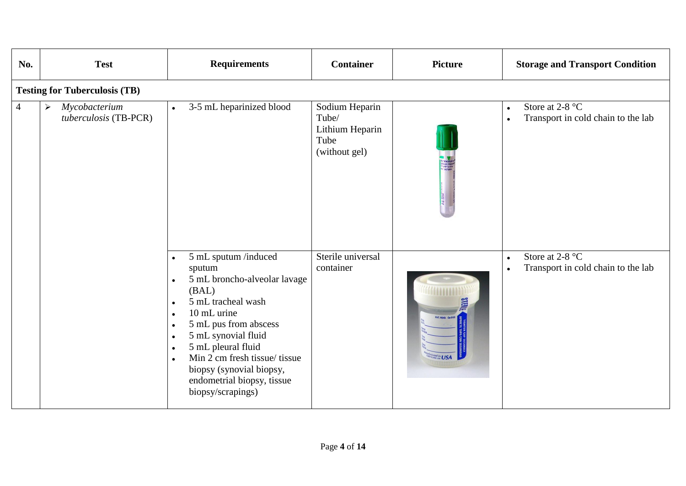| No.            | <b>Test</b>                                                     | <b>Requirements</b>                                                                                                                                                                                                                                                                                                                                                                                        | <b>Container</b>                                                    | <b>Picture</b>       | <b>Storage and Transport Condition</b>                                                    |  |  |  |  |  |
|----------------|-----------------------------------------------------------------|------------------------------------------------------------------------------------------------------------------------------------------------------------------------------------------------------------------------------------------------------------------------------------------------------------------------------------------------------------------------------------------------------------|---------------------------------------------------------------------|----------------------|-------------------------------------------------------------------------------------------|--|--|--|--|--|
|                | <b>Testing for Tuberculosis (TB)</b>                            |                                                                                                                                                                                                                                                                                                                                                                                                            |                                                                     |                      |                                                                                           |  |  |  |  |  |
| $\overline{4}$ | Mycobacterium<br>$\blacktriangleright$<br>tuberculosis (TB-PCR) | 3-5 mL heparinized blood<br>$\bullet$                                                                                                                                                                                                                                                                                                                                                                      | Sodium Heparin<br>Tube/<br>Lithium Heparin<br>Tube<br>(without gel) |                      | Store at 2-8 °C<br>$\bullet$<br>Transport in cold chain to the lab<br>$\bullet$           |  |  |  |  |  |
|                |                                                                 | 5 mL sputum /induced<br>$\bullet$<br>sputum<br>5 mL broncho-alveolar lavage<br>$\bullet$<br>(BAL)<br>5 mL tracheal wash<br>$\bullet$<br>10 mL urine<br>$\bullet$<br>5 mL pus from abscess<br>$\bullet$<br>5 mL synovial fluid<br>$\bullet$<br>5 mL pleural fluid<br>$\bullet$<br>Min 2 cm fresh tissue/ tissue<br>$\bullet$<br>biopsy (synovial biopsy,<br>endometrial biopsy, tissue<br>biopsy/scrapings) | Sterile universal<br>container                                      | $\frac{d}{d}$ in USA | Store at 2-8 $^{\circ}$ C<br>$\bullet$<br>Transport in cold chain to the lab<br>$\bullet$ |  |  |  |  |  |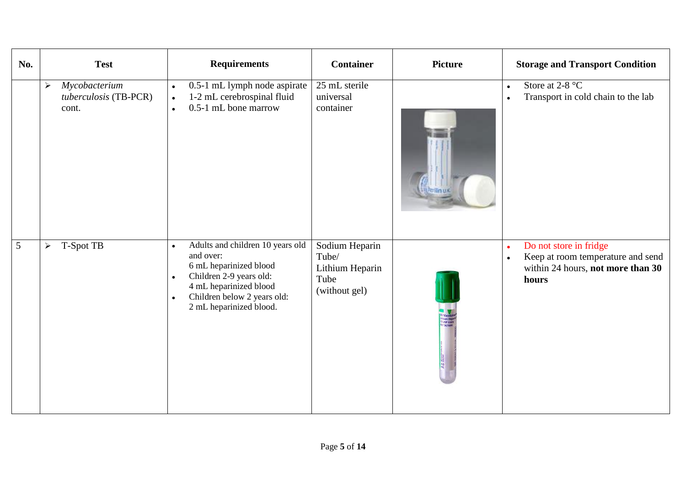| No. | <b>Test</b>                                                              | <b>Requirements</b>                                                                                                                                                                                                           | <b>Container</b>                                                    | <b>Picture</b> | <b>Storage and Transport Condition</b>                                                                                              |
|-----|--------------------------------------------------------------------------|-------------------------------------------------------------------------------------------------------------------------------------------------------------------------------------------------------------------------------|---------------------------------------------------------------------|----------------|-------------------------------------------------------------------------------------------------------------------------------------|
|     | Mycobacterium<br>$\blacktriangleright$<br>tuberculosis (TB-PCR)<br>cont. | 0.5-1 mL lymph node aspirate<br>$\bullet$<br>1-2 mL cerebrospinal fluid<br>$\bullet$<br>0.5-1 mL bone marrow<br>$\bullet$                                                                                                     | 25 mL sterile<br>universal<br>container                             |                | Store at $2-8$ °C<br>$\bullet$<br>Transport in cold chain to the lab                                                                |
| 5   | T-Spot TB<br>$\blacktriangleright$                                       | Adults and children 10 years old<br>$\bullet$<br>and over:<br>6 mL heparinized blood<br>Children 2-9 years old:<br>$\bullet$<br>4 mL heparinized blood<br>Children below 2 years old:<br>$\bullet$<br>2 mL heparinized blood. | Sodium Heparin<br>Tube/<br>Lithium Heparin<br>Tube<br>(without gel) |                | Do not store in fridge<br>$\bullet$<br>Keep at room temperature and send<br>$\bullet$<br>within 24 hours, not more than 30<br>hours |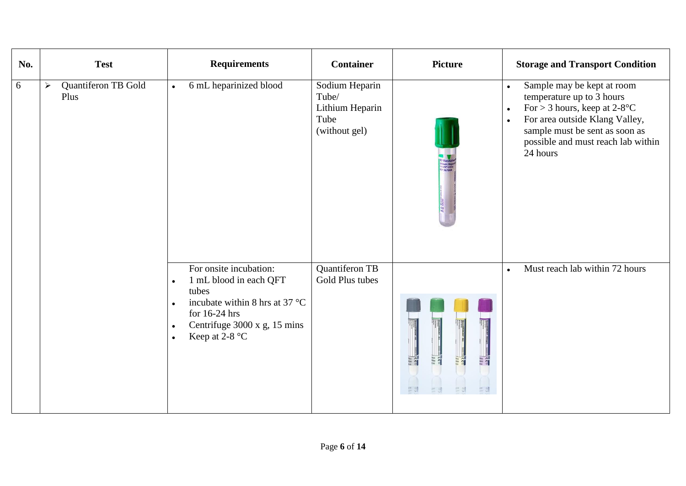| No. | <b>Test</b>                                          | <b>Requirements</b>                                                                                                                                                                                                                    | <b>Container</b>                                                    | <b>Picture</b>          | <b>Storage and Transport Condition</b>                                                                                                                                                                                                                            |
|-----|------------------------------------------------------|----------------------------------------------------------------------------------------------------------------------------------------------------------------------------------------------------------------------------------------|---------------------------------------------------------------------|-------------------------|-------------------------------------------------------------------------------------------------------------------------------------------------------------------------------------------------------------------------------------------------------------------|
| 6   | Quantiferon TB Gold<br>$\blacktriangleright$<br>Plus | 6 mL heparinized blood<br>$\bullet$                                                                                                                                                                                                    | Sodium Heparin<br>Tube/<br>Lithium Heparin<br>Tube<br>(without gel) |                         | Sample may be kept at room<br>$\bullet$<br>temperature up to 3 hours<br>For $>$ 3 hours, keep at 2-8 $^{\circ}$ C<br>$\bullet$<br>For area outside Klang Valley,<br>$\bullet$<br>sample must be sent as soon as<br>possible and must reach lab within<br>24 hours |
|     |                                                      | For onsite incubation:<br>1 mL blood in each QFT<br>$\bullet$<br>tubes<br>incubate within 8 hrs at 37 $^{\circ}$ C<br>$\bullet$<br>for 16-24 hrs<br>Centrifuge 3000 x g, 15 mins<br>$\bullet$<br>Keep at 2-8 $^{\circ}$ C<br>$\bullet$ | Quantiferon TB<br>Gold Plus tubes                                   | ce<br>BBB<br><b>CER</b> | Must reach lab within 72 hours<br>$\bullet$                                                                                                                                                                                                                       |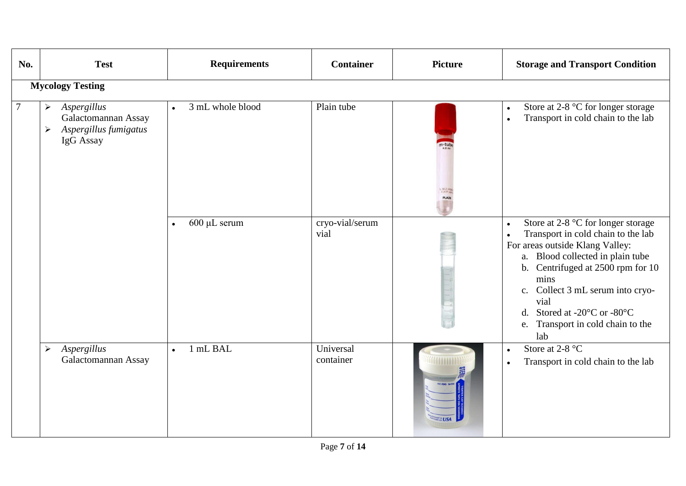| No.            | <b>Test</b>                                                                                                                | <b>Requirements</b>            | <b>Container</b>        | <b>Picture</b> | <b>Storage and Transport Condition</b>                                                                                                                                                                                                                                                                                                              |  |  |  |  |  |
|----------------|----------------------------------------------------------------------------------------------------------------------------|--------------------------------|-------------------------|----------------|-----------------------------------------------------------------------------------------------------------------------------------------------------------------------------------------------------------------------------------------------------------------------------------------------------------------------------------------------------|--|--|--|--|--|
|                | <b>Mycology Testing</b>                                                                                                    |                                |                         |                |                                                                                                                                                                                                                                                                                                                                                     |  |  |  |  |  |
| $\overline{7}$ | Aspergillus<br>$\blacktriangleright$<br>Galactomannan Assay<br>Aspergillus fumigatus<br>$\blacktriangleright$<br>IgG Assay | 3 mL whole blood<br>$\bullet$  | Plain tube              | NO AN<br>PLAIN | Store at 2-8 °C for longer storage<br>$\bullet$<br>Transport in cold chain to the lab<br>$\bullet$                                                                                                                                                                                                                                                  |  |  |  |  |  |
|                |                                                                                                                            | $600 \mu L$ serum<br>$\bullet$ | cryo-vial/serum<br>vial |                | Store at 2-8 °C for longer storage<br>$\bullet$<br>Transport in cold chain to the lab<br>$\bullet$<br>For areas outside Klang Valley:<br>a. Blood collected in plain tube<br>b. Centrifuged at 2500 rpm for 10<br>mins<br>c. Collect 3 mL serum into cryo-<br>vial<br>Stored at -20°C or -80°C<br>d.<br>Transport in cold chain to the<br>e.<br>lab |  |  |  |  |  |
|                | Aspergillus<br>$\blacktriangleright$<br>Galactomannan Assay                                                                | 1 mL BAL<br>$\bullet$          | Universal<br>container  |                | Store at 2-8 °C<br>$\bullet$<br>Transport in cold chain to the lab<br>$\bullet$                                                                                                                                                                                                                                                                     |  |  |  |  |  |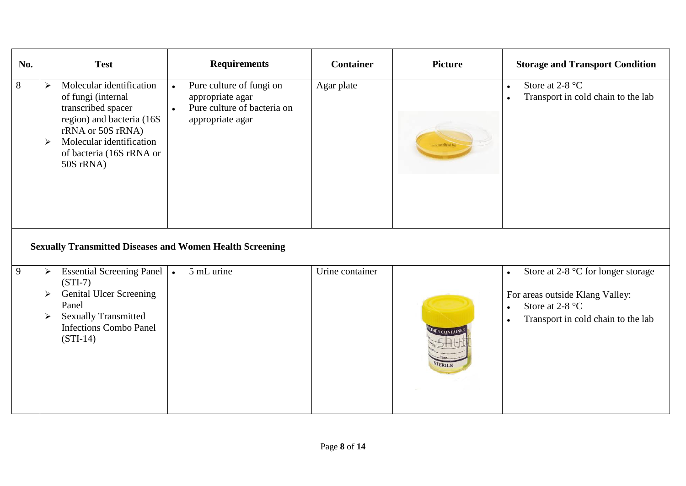| No. | <b>Test</b>                                                                                                                                                                                                               | <b>Requirements</b>                                                                                                       | <b>Container</b> | <b>Picture</b> | <b>Storage and Transport Condition</b>                                                                                                                                          |
|-----|---------------------------------------------------------------------------------------------------------------------------------------------------------------------------------------------------------------------------|---------------------------------------------------------------------------------------------------------------------------|------------------|----------------|---------------------------------------------------------------------------------------------------------------------------------------------------------------------------------|
| 8   | Molecular identification<br>$\blacktriangleright$<br>of fungi (internal<br>transcribed spacer<br>region) and bacteria (16S<br>rRNA or 50S rRNA)<br>Molecular identification<br>≻<br>of bacteria (16S rRNA or<br>50S rRNA) | Pure culture of fungi on<br>$\bullet$<br>appropriate agar<br>Pure culture of bacteria on<br>$\bullet$<br>appropriate agar | Agar plate       |                | Store at 2-8 $^{\circ}$ C<br>$\bullet$<br>Transport in cold chain to the lab<br>$\bullet$                                                                                       |
|     | <b>Sexually Transmitted Diseases and Women Health Screening</b>                                                                                                                                                           |                                                                                                                           |                  |                |                                                                                                                                                                                 |
| 9   | <b>Essential Screening Panel</b><br>➤<br>$(STI-7)$<br><b>Genital Ulcer Screening</b><br>➤<br>Panel<br><b>Sexually Transmitted</b><br>➤<br><b>Infections Combo Panel</b><br>$(STI-14)$                                     | 5 mL urine<br>$\bullet$                                                                                                   | Urine container  |                | Store at 2-8 °C for longer storage<br>$\bullet$<br>For areas outside Klang Valley:<br>Store at 2-8 $^{\circ}$ C<br>$\bullet$<br>Transport in cold chain to the lab<br>$\bullet$ |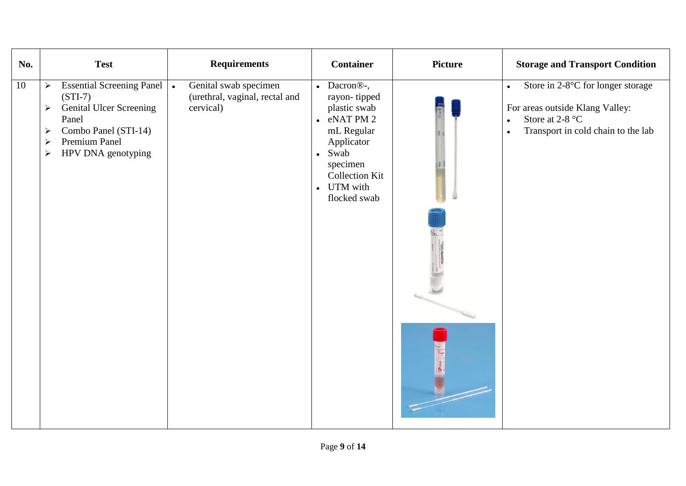| No. | <b>Test</b>                                                                                                                                                                                                                                  | <b>Requirements</b>                                                               | <b>Container</b>                                                                                                                                                                                                  | <b>Picture</b> | <b>Storage and Transport Condition</b>                                                                                                                                                 |
|-----|----------------------------------------------------------------------------------------------------------------------------------------------------------------------------------------------------------------------------------------------|-----------------------------------------------------------------------------------|-------------------------------------------------------------------------------------------------------------------------------------------------------------------------------------------------------------------|----------------|----------------------------------------------------------------------------------------------------------------------------------------------------------------------------------------|
| 10  | <b>Essential Screening Panel</b><br>$\blacktriangleright$<br>$(STI-7)$<br><b>Genital Ulcer Screening</b><br>$\blacktriangleright$<br>Panel<br>Combo Panel (STI-14)<br>➤<br>Premium Panel<br>➤<br>HPV DNA genotyping<br>$\blacktriangleright$ | Genital swab specimen<br>$\bullet$<br>(urethral, vaginal, rectal and<br>cervical) | Dacron <sup>®-</sup> ,<br>$\bullet$<br>rayon-tipped<br>plastic swab<br>eNAT PM 2<br>$\bullet$<br>mL Regular<br>Applicator<br>Swab<br>$\bullet$<br>specimen<br><b>Collection Kit</b><br>• UTM with<br>flocked swab |                | Store in 2-8°C for longer storage<br>$\bullet$<br>For areas outside Klang Valley:<br>Store at 2-8 $\mathrm{^{\circ}C}$<br>$\bullet$<br>Transport in cold chain to the lab<br>$\bullet$ |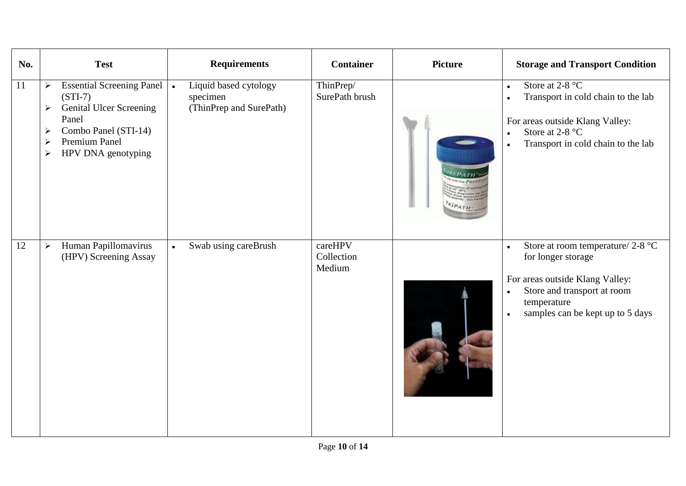| No.             | <b>Test</b>                                                                                                                                                                                                                                                   | <b>Requirements</b>                                          | <b>Container</b>                | <b>Picture</b> | <b>Storage and Transport Condition</b>                                                                                                                                                                                |
|-----------------|---------------------------------------------------------------------------------------------------------------------------------------------------------------------------------------------------------------------------------------------------------------|--------------------------------------------------------------|---------------------------------|----------------|-----------------------------------------------------------------------------------------------------------------------------------------------------------------------------------------------------------------------|
| 11              | Essential Screening Panel   .<br>$\blacktriangleright$<br>$(STI-7)$<br><b>Genital Ulcer Screening</b><br>$\blacktriangleright$<br>Panel<br>Combo Panel (STI-14)<br>$\blacktriangleright$<br>Premium Panel<br>$\blacktriangleright$<br>HPV DNA genotyping<br>➤ | Liquid based cytology<br>specimen<br>(ThinPrep and SurePath) | ThinPrep/<br>SurePath brush     | IPATH          | Store at $2-8$ °C<br>$\bullet$<br>Transport in cold chain to the lab<br>$\bullet$<br>For areas outside Klang Valley:<br>Store at 2-8 $^{\circ}$ C<br>$\bullet$<br>Transport in cold chain to the lab<br>$\bullet$     |
| $\overline{12}$ | Human Papillomavirus<br>$\blacktriangleright$<br>(HPV) Screening Assay                                                                                                                                                                                        | Swab using careBrush<br>$\bullet$                            | careHPV<br>Collection<br>Medium |                | Store at room temperature/ $2-8$ °C<br>$\bullet$<br>for longer storage<br>For areas outside Klang Valley:<br>Store and transport at room<br>$\bullet$<br>temperature<br>samples can be kept up to 5 days<br>$\bullet$ |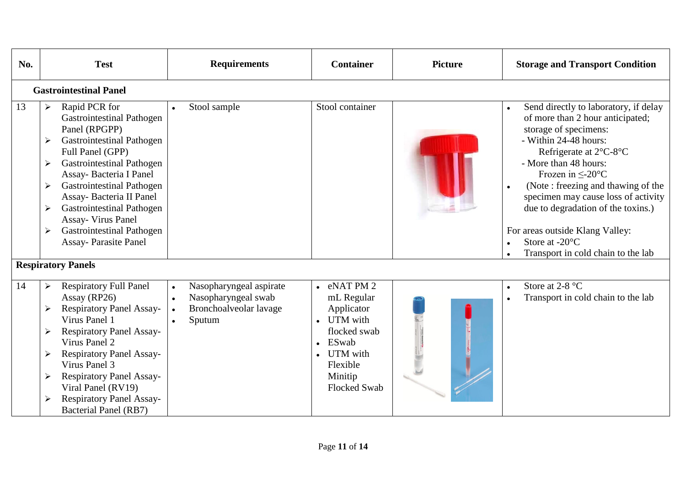| No. | <b>Test</b>                                                                                                                                                                                                                                                                                                                                                                                                                                                        | <b>Requirements</b>                                                                                                       | <b>Container</b>                                                                                                                                   | <b>Picture</b> | <b>Storage and Transport Condition</b>                                                                                                                                                                                                                                                                                                                                                                                                                                |
|-----|--------------------------------------------------------------------------------------------------------------------------------------------------------------------------------------------------------------------------------------------------------------------------------------------------------------------------------------------------------------------------------------------------------------------------------------------------------------------|---------------------------------------------------------------------------------------------------------------------------|----------------------------------------------------------------------------------------------------------------------------------------------------|----------------|-----------------------------------------------------------------------------------------------------------------------------------------------------------------------------------------------------------------------------------------------------------------------------------------------------------------------------------------------------------------------------------------------------------------------------------------------------------------------|
|     | <b>Gastrointestinal Panel</b>                                                                                                                                                                                                                                                                                                                                                                                                                                      |                                                                                                                           |                                                                                                                                                    |                |                                                                                                                                                                                                                                                                                                                                                                                                                                                                       |
| 13  | Rapid PCR for<br>$\blacktriangleright$<br><b>Gastrointestinal Pathogen</b><br>Panel (RPGPP)<br><b>Gastrointestinal Pathogen</b><br>≻<br>Full Panel (GPP)<br><b>Gastrointestinal Pathogen</b><br>$\blacktriangleright$<br>Assay-Bacteria I Panel<br><b>Gastrointestinal Pathogen</b><br>≻<br>Assay- Bacteria II Panel<br><b>Gastrointestinal Pathogen</b><br>➤<br><b>Assay- Virus Panel</b><br><b>Gastrointestinal Pathogen</b><br>≻<br><b>Assay-Parasite Panel</b> | Stool sample<br>$\bullet$                                                                                                 | Stool container                                                                                                                                    |                | Send directly to laboratory, if delay<br>$\bullet$<br>of more than 2 hour anticipated;<br>storage of specimens:<br>- Within 24-48 hours:<br>Refrigerate at 2°C-8°C<br>- More than 48 hours:<br>Frozen in $\leq$ -20 $^{\circ}$ C<br>(Note: freezing and thawing of the<br>$\bullet$<br>specimen may cause loss of activity<br>due to degradation of the toxins.)<br>For areas outside Klang Valley:<br>Store at $-20^{\circ}$ C<br>Transport in cold chain to the lab |
|     | <b>Respiratory Panels</b>                                                                                                                                                                                                                                                                                                                                                                                                                                          |                                                                                                                           |                                                                                                                                                    |                |                                                                                                                                                                                                                                                                                                                                                                                                                                                                       |
| 14  | <b>Respiratory Full Panel</b><br>≻<br>Assay (RP26)<br><b>Respiratory Panel Assay-</b><br>Virus Panel 1<br><b>Respiratory Panel Assay-</b><br>$\blacktriangleright$<br>Virus Panel 2<br><b>Respiratory Panel Assay-</b><br>≻<br>Virus Panel 3<br>Respiratory Panel Assay-<br>Viral Panel (RV19)<br><b>Respiratory Panel Assay-</b><br><b>Bacterial Panel (RB7)</b>                                                                                                  | Nasopharyngeal aspirate<br>$\bullet$<br>Nasopharyngeal swab<br>$\bullet$<br>Bronchoalveolar lavage<br>$\bullet$<br>Sputum | eNAT PM 2<br>mL Regular<br>Applicator<br>UTM with<br>flocked swab<br><b>ESwab</b><br><b>UTM</b> with<br>Flexible<br>Minitip<br><b>Flocked Swab</b> |                | Store at 2-8 °C<br>$\bullet$<br>Transport in cold chain to the lab<br>$\bullet$                                                                                                                                                                                                                                                                                                                                                                                       |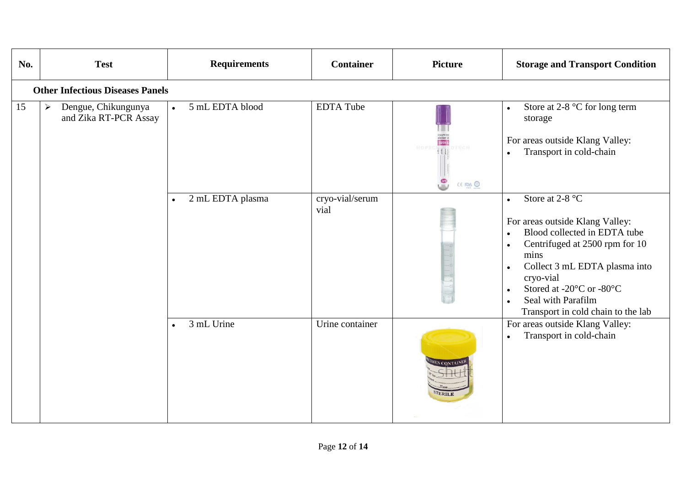| No. | <b>Test</b>                                                           | <b>Requirements</b>           | <b>Container</b>        | <b>Picture</b>                                                                                                                | <b>Storage and Transport Condition</b>                                                                                                                                                                                                                                                                                              |
|-----|-----------------------------------------------------------------------|-------------------------------|-------------------------|-------------------------------------------------------------------------------------------------------------------------------|-------------------------------------------------------------------------------------------------------------------------------------------------------------------------------------------------------------------------------------------------------------------------------------------------------------------------------------|
|     | <b>Other Infectious Diseases Panels</b>                               |                               |                         |                                                                                                                               |                                                                                                                                                                                                                                                                                                                                     |
| 15  | Dengue, Chikungunya<br>$\blacktriangleright$<br>and Zika RT-PCR Assay | 5 mL EDTA blood<br>$\bullet$  | <b>EDTA Tube</b>        | $\begin{array}{c} \text{stochastic}\\ \text{EDTA} \end{array}$<br>DTECH.<br><b>HOPE</b><br>$\frac{6}{3}$<br>$CE$ Figs $\odot$ | Store at 2-8 °C for long term<br>$\bullet$<br>storage<br>For areas outside Klang Valley:<br>Transport in cold-chain                                                                                                                                                                                                                 |
|     |                                                                       | 2 mL EDTA plasma<br>$\bullet$ | cryo-vial/serum<br>vial |                                                                                                                               | Store at 2-8 °C<br>$\bullet$<br>For areas outside Klang Valley:<br>Blood collected in EDTA tube<br>$\bullet$<br>Centrifuged at 2500 rpm for 10<br>$\bullet$<br>mins<br>Collect 3 mL EDTA plasma into<br>$\bullet$<br>cryo-vial<br>Stored at -20°C or -80°C<br>$\bullet$<br>Seal with Parafilm<br>Transport in cold chain to the lab |
|     |                                                                       | 3 mL Urine<br>$\bullet$       | Urine container         | MEN CONTAINE                                                                                                                  | For areas outside Klang Valley:<br>Transport in cold-chain                                                                                                                                                                                                                                                                          |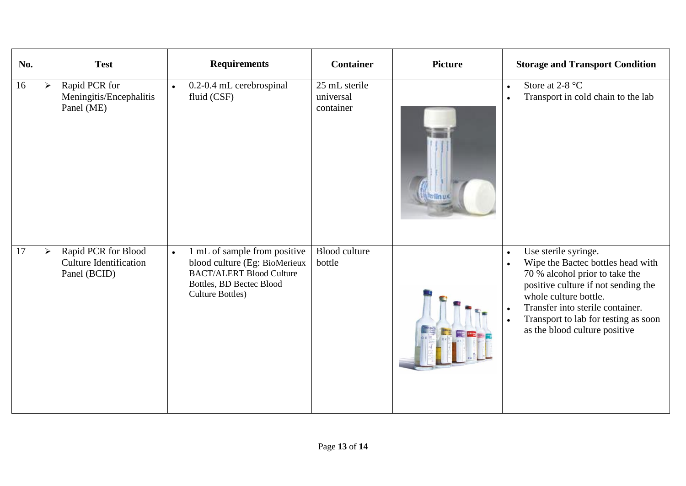| No.             |                       | <b>Test</b>                                                          | <b>Requirements</b>                                                                                                                                                  | <b>Container</b>                        | <b>Picture</b> | <b>Storage and Transport Condition</b>                                                                                                                                                                                                                                                                                       |
|-----------------|-----------------------|----------------------------------------------------------------------|----------------------------------------------------------------------------------------------------------------------------------------------------------------------|-----------------------------------------|----------------|------------------------------------------------------------------------------------------------------------------------------------------------------------------------------------------------------------------------------------------------------------------------------------------------------------------------------|
| 16              | ➤                     | Rapid PCR for<br>Meningitis/Encephalitis<br>Panel (ME)               | 0.2-0.4 mL cerebrospinal<br>$\bullet$<br>fluid (CSF)                                                                                                                 | 25 mL sterile<br>universal<br>container |                | Store at $2-8$ °C<br>$\bullet$<br>Transport in cold chain to the lab<br>$\bullet$                                                                                                                                                                                                                                            |
| $\overline{17}$ | $\blacktriangleright$ | Rapid PCR for Blood<br><b>Culture Identification</b><br>Panel (BCID) | 1 mL of sample from positive<br>$\bullet$<br>blood culture (Eg: BioMerieux<br><b>BACT/ALERT Blood Culture</b><br>Bottles, BD Bectec Blood<br><b>Culture Bottles)</b> | <b>Blood culture</b><br>bottle          |                | Use sterile syringe.<br>$\bullet$<br>Wipe the Bactec bottles head with<br>$\bullet$<br>70 % alcohol prior to take the<br>positive culture if not sending the<br>whole culture bottle.<br>Transfer into sterile container.<br>$\bullet$<br>Transport to lab for testing as soon<br>$\bullet$<br>as the blood culture positive |